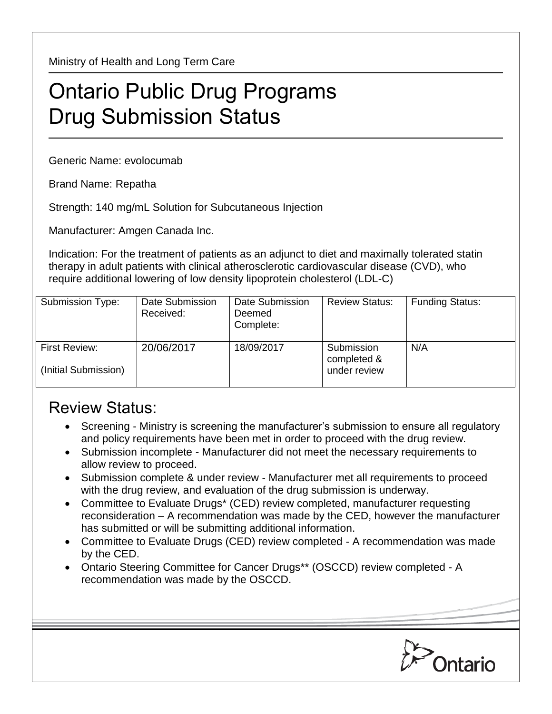Ministry of Health and Long Term Care

## Ontario Public Drug Programs Drug Submission Status

Generic Name: evolocumab

Brand Name: Repatha

Strength: 140 mg/mL Solution for Subcutaneous Injection

Manufacturer: Amgen Canada Inc.

Indication: For the treatment of patients as an adjunct to diet and maximally tolerated statin therapy in adult patients with clinical atherosclerotic cardiovascular disease (CVD), who require additional lowering of low density lipoprotein cholesterol (LDL-C)

| Submission Type:                             | Date Submission<br>Received: | Date Submission<br>Deemed<br>Complete: | <b>Review Status:</b>                     | <b>Funding Status:</b> |
|----------------------------------------------|------------------------------|----------------------------------------|-------------------------------------------|------------------------|
| <b>First Review:</b><br>(Initial Submission) | 20/06/2017                   | 18/09/2017                             | Submission<br>completed &<br>under review | N/A                    |

## Review Status:

- Screening Ministry is screening the manufacturer's submission to ensure all regulatory and policy requirements have been met in order to proceed with the drug review.
- Submission incomplete Manufacturer did not meet the necessary requirements to allow review to proceed.
- Submission complete & under review Manufacturer met all requirements to proceed with the drug review, and evaluation of the drug submission is underway.
- Committee to Evaluate Drugs\* (CED) review completed, manufacturer requesting reconsideration – A recommendation was made by the CED, however the manufacturer has submitted or will be submitting additional information.
- Committee to Evaluate Drugs (CED) review completed A recommendation was made by the CED.
- Ontario Steering Committee for Cancer Drugs\*\* (OSCCD) review completed A recommendation was made by the OSCCD.